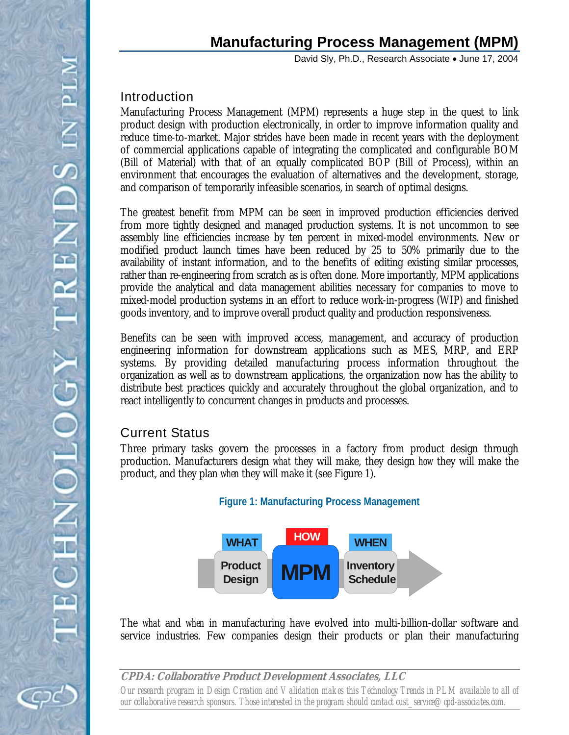# **Manufacturing Process Management (MPM)**

David Sly, Ph.D., Research Associate • June 17, 2004

## Introduction

Manufacturing Process Management (MPM) represents a huge step in the quest to link product design with production electronically, in order to improve information quality and reduce time-to-market. Major strides have been made in recent years with the deployment of commercial applications capable of integrating the complicated and configurable BOM (Bill of Material) with that of an equally complicated BOP (Bill of Process), within an environment that encourages the evaluation of alternatives and the development, storage, and comparison of temporarily infeasible scenarios, in search of optimal designs.

The greatest benefit from MPM can be seen in improved production efficiencies derived from more tightly designed and managed production systems. It is not uncommon to see assembly line efficiencies increase by ten percent in mixed-model environments. New or modified product launch times have been reduced by 25 to 50% primarily due to the availability of instant information, and to the benefits of editing existing similar processes, rather than re-engineering from scratch as is often done. More importantly, MPM applications provide the analytical and data management abilities necessary for companies to move to mixed-model production systems in an effort to reduce work-in-progress (WIP) and finished goods inventory, and to improve overall product quality and production responsiveness.

Benefits can be seen with improved access, management, and accuracy of production engineering information for downstream applications such as MES, MRP, and ERP systems. By providing detailed manufacturing process information throughout the organization as well as to downstream applications, the organization now has the ability to distribute best practices quickly and accurately throughout the global organization, and to react intelligently to concurrent changes in products and processes.

### Current Status

Three primary tasks govern the processes in a factory from product design through production. Manufacturers design *what* they will make, they design *how* they will make the product, and they plan *when* they will make it (see Figure 1).



The *what* and *when* in manufacturing have evolved into multi-billion-dollar software and service industries. Few companies design their products or plan their manufacturing

**CPDA: Collaborative Product Development Associates, LLC**  *Our research program in Design Creation and Validation makes this Technology Trends in PLM available to all of our collaborative research sponsors. Those interested in the program should contact cust\_service@cpd-associates.com.*

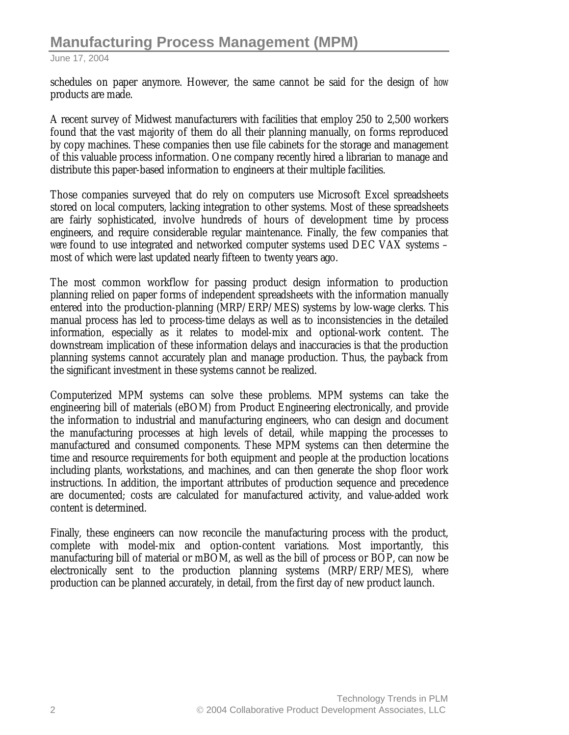schedules on paper anymore. However, the same cannot be said for the design of *how* products are made.

A recent survey of Midwest manufacturers with facilities that employ 250 to 2,500 workers found that the vast majority of them do all their planning manually, on forms reproduced by copy machines. These companies then use file cabinets for the storage and management of this valuable process information. One company recently hired a librarian to manage and distribute this paper-based information to engineers at their multiple facilities.

Those companies surveyed that do rely on computers use Microsoft Excel spreadsheets stored on local computers, lacking integration to other systems. Most of these spreadsheets are fairly sophisticated, involve hundreds of hours of development time by process engineers, and require considerable regular maintenance. Finally, the few companies that were found to use integrated and networked computer systems used DEC VAX systems – most of which were last updated nearly fifteen to twenty years ago.

The most common workflow for passing product design information to production planning relied on paper forms of independent spreadsheets with the information manually entered into the production-planning (MRP/ERP/MES) systems by low-wage clerks. This manual process has led to process-time delays as well as to inconsistencies in the detailed information, especially as it relates to model-mix and optional-work content. The downstream implication of these information delays and inaccuracies is that the production planning systems cannot accurately plan and manage production. Thus, the payback from the significant investment in these systems cannot be realized.

Computerized MPM systems can solve these problems. MPM systems can take the engineering bill of materials (eBOM) from Product Engineering electronically, and provide the information to industrial and manufacturing engineers, who can design and document the manufacturing processes at high levels of detail, while mapping the processes to manufactured and consumed components. These MPM systems can then determine the time and resource requirements for both equipment and people at the production locations including plants, workstations, and machines, and can then generate the shop floor work instructions. In addition, the important attributes of production sequence and precedence are documented; costs are calculated for manufactured activity, and value-added work content is determined.

Finally, these engineers can now reconcile the manufacturing process with the product, complete with model-mix and option-content variations. Most importantly, this manufacturing bill of material or mBOM, as well as the bill of process or BOP, can now be electronically sent to the production planning systems (MRP/ERP/MES), where production can be planned accurately, in detail, from the first day of new product launch.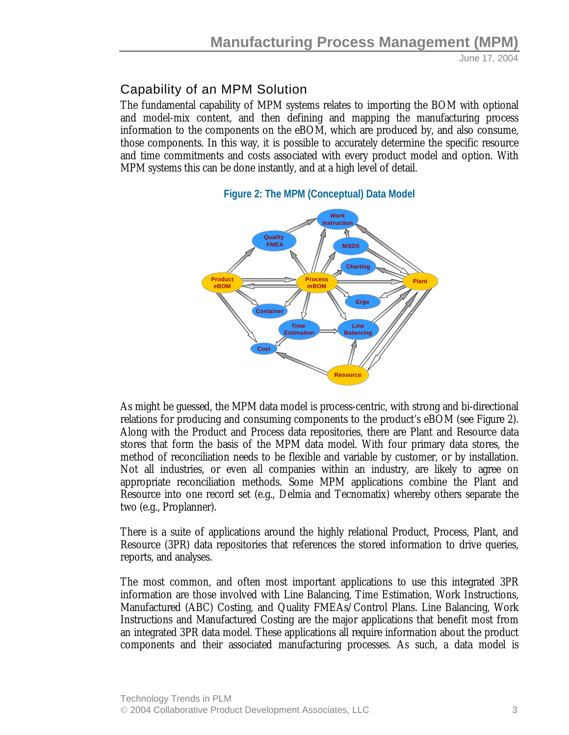# Capability of an MPM Solution

The fundamental capability of MPM systems relates to importing the BOM with optional and model-mix content, and then defining and mapping the manufacturing process information to the components on the eBOM, which are produced by, and also consume, those components. In this way, it is possible to accurately determine the specific resource and time commitments and costs associated with every product model and option. With MPM systems this can be done instantly, and at a high level of detail.





As might be guessed, the MPM data model is process-centric, with strong and bi-directional relations for producing and consuming components to the product's eBOM (see Figure 2). Along with the Product and Process data repositories, there are Plant and Resource data stores that form the basis of the MPM data model. With four primary data stores, the method of reconciliation needs to be flexible and variable by customer, or by installation. Not all industries, or even all companies within an industry, are likely to agree on appropriate reconciliation methods. Some MPM applications combine the Plant and Resource into one record set (e.g., Delmia and Tecnomatix) whereby others separate the two (e.g., Proplanner).

There is a suite of applications around the highly relational Product, Process, Plant, and Resource (3PR) data repositories that references the stored information to drive queries, reports, and analyses.

The most common, and often most important applications to use this integrated 3PR information are those involved with Line Balancing, Time Estimation, Work Instructions, Manufactured (ABC) Costing, and Quality FMEAs/Control Plans. Line Balancing, Work Instructions and Manufactured Costing are the major applications that benefit most from an integrated 3PR data model. These applications all require information about the product components and their associated manufacturing processes. As such, a data model is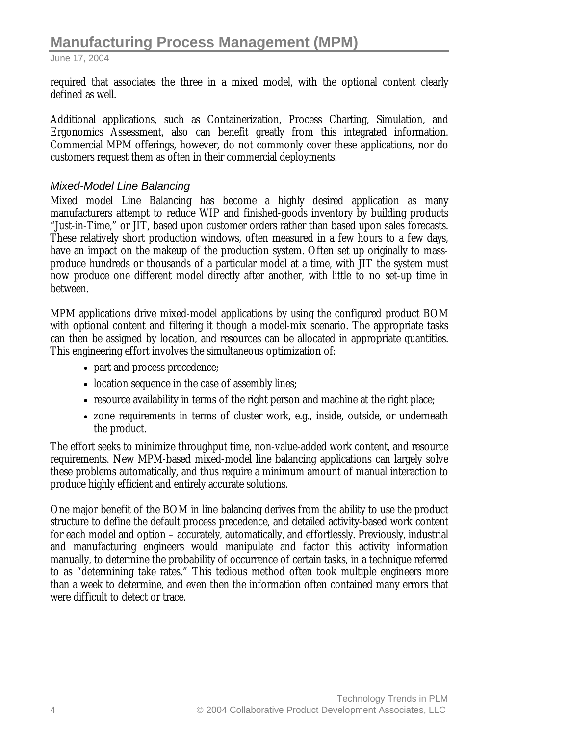required that associates the three in a mixed model, with the optional content clearly defined as well.

Additional applications, such as Containerization, Process Charting, Simulation, and Ergonomics Assessment, also can benefit greatly from this integrated information. Commercial MPM offerings, however, do not commonly cover these applications, nor do customers request them as often in their commercial deployments.

#### *Mixed-Model Line Balancing*

Mixed model Line Balancing has become a highly desired application as many manufacturers attempt to reduce WIP and finished-goods inventory by building products "Just-in-Time," or JIT, based upon customer orders rather than based upon sales forecasts. These relatively short production windows, often measured in a few hours to a few days, have an impact on the makeup of the production system. Often set up originally to massproduce hundreds or thousands of a particular model at a time, with JIT the system must now produce one different model directly after another, with little to no set-up time in between.

MPM applications drive mixed-model applications by using the configured product BOM with optional content and filtering it though a model-mix scenario. The appropriate tasks can then be assigned by location, and resources can be allocated in appropriate quantities. This engineering effort involves the simultaneous optimization of:

- part and process precedence;
- location sequence in the case of assembly lines;
- resource availability in terms of the right person and machine at the right place;
- zone requirements in terms of cluster work, e.g., inside, outside, or underneath the product.

The effort seeks to minimize throughput time, non-value-added work content, and resource requirements. New MPM-based mixed-model line balancing applications can largely solve these problems automatically, and thus require a minimum amount of manual interaction to produce highly efficient and entirely accurate solutions.

One major benefit of the BOM in line balancing derives from the ability to use the product structure to define the default process precedence, and detailed activity-based work content for each model and option – accurately, automatically, and effortlessly. Previously, industrial and manufacturing engineers would manipulate and factor this activity information manually, to determine the probability of occurrence of certain tasks, in a technique referred to as "determining take rates." This tedious method often took multiple engineers more than a week to determine, and even then the information often contained many errors that were difficult to detect or trace.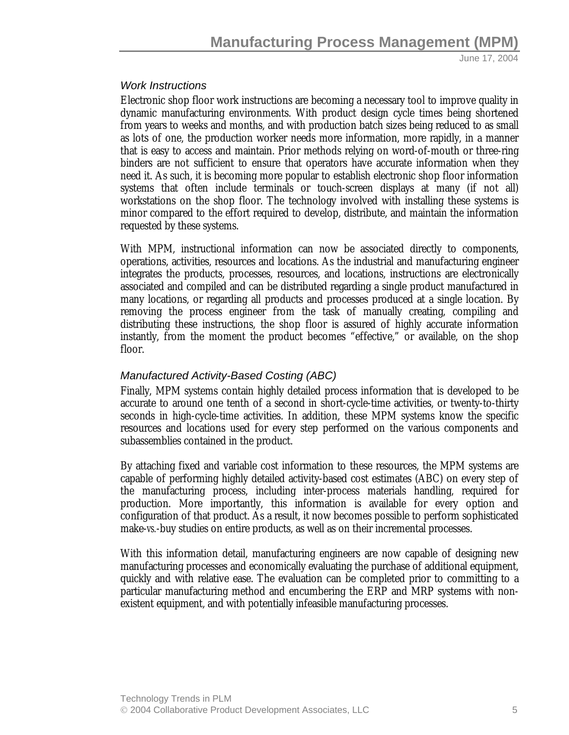#### *Work Instructions*

Electronic shop floor work instructions are becoming a necessary tool to improve quality in dynamic manufacturing environments. With product design cycle times being shortened from years to weeks and months, and with production batch sizes being reduced to as small as lots of one, the production worker needs more information, more rapidly, in a manner that is easy to access and maintain. Prior methods relying on word-of-mouth or three-ring binders are not sufficient to ensure that operators have accurate information when they need it. As such, it is becoming more popular to establish electronic shop floor information systems that often include terminals or touch-screen displays at many (if not all) workstations on the shop floor. The technology involved with installing these systems is minor compared to the effort required to develop, distribute, and maintain the information requested by these systems.

With MPM, instructional information can now be associated directly to components, operations, activities, resources and locations. As the industrial and manufacturing engineer integrates the products, processes, resources, and locations, instructions are electronically associated and compiled and can be distributed regarding a single product manufactured in many locations, or regarding all products and processes produced at a single location. By removing the process engineer from the task of manually creating, compiling and distributing these instructions, the shop floor is assured of highly accurate information instantly, from the moment the product becomes "effective," or available, on the shop floor.

#### *Manufactured Activity-Based Costing (ABC)*

Finally, MPM systems contain highly detailed process information that is developed to be accurate to around one tenth of a second in short-cycle-time activities, or twenty-to-thirty seconds in high-cycle-time activities. In addition, these MPM systems know the specific resources and locations used for every step performed on the various components and subassemblies contained in the product.

By attaching fixed and variable cost information to these resources, the MPM systems are capable of performing highly detailed activity-based cost estimates (ABC) on every step of the manufacturing process, including inter-process materials handling, required for production. More importantly, this information is available for every option and configuration of that product. As a result, it now becomes possible to perform sophisticated make-*vs.*-buy studies on entire products, as well as on their incremental processes.

With this information detail, manufacturing engineers are now capable of designing new manufacturing processes and economically evaluating the purchase of additional equipment, quickly and with relative ease. The evaluation can be completed prior to committing to a particular manufacturing method and encumbering the ERP and MRP systems with nonexistent equipment, and with potentially infeasible manufacturing processes.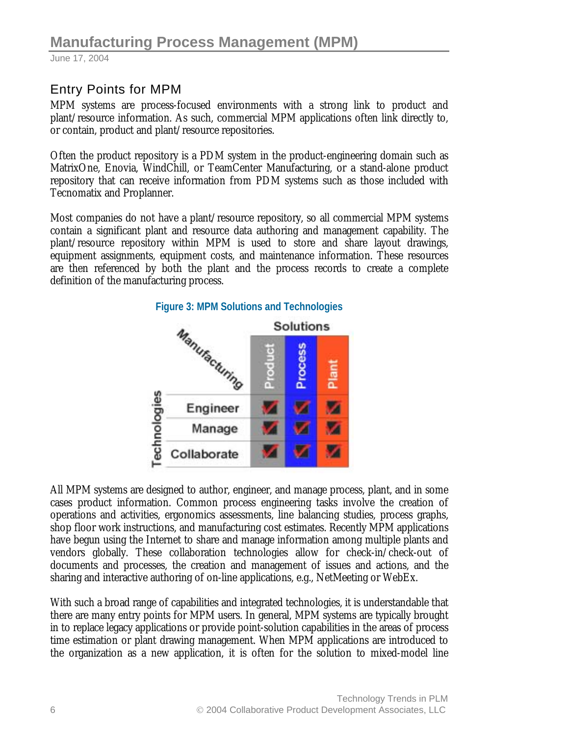# Entry Points for MPM

MPM systems are process-focused environments with a strong link to product and plant/resource information. As such, commercial MPM applications often link directly to, or contain, product and plant/resource repositories.

Often the product repository is a PDM system in the product-engineering domain such as MatrixOne, Enovia, WindChill, or TeamCenter Manufacturing, or a stand-alone product repository that can receive information from PDM systems such as those included with Tecnomatix and Proplanner.

Most companies do not have a plant/resource repository, so all commercial MPM systems contain a significant plant and resource data authoring and management capability. The plant/resource repository within MPM is used to store and share layout drawings, equipment assignments, equipment costs, and maintenance information. These resources are then referenced by both the plant and the process records to create a complete definition of the manufacturing process.



All MPM systems are designed to author, engineer, and manage process, plant, and in some cases product information. Common process engineering tasks involve the creation of operations and activities, ergonomics assessments, line balancing studies, process graphs, shop floor work instructions, and manufacturing cost estimates. Recently MPM applications have begun using the Internet to share and manage information among multiple plants and vendors globally. These collaboration technologies allow for check-in/check-out of documents and processes, the creation and management of issues and actions, and the sharing and interactive authoring of on-line applications, e.g., NetMeeting or WebEx.

With such a broad range of capabilities and integrated technologies, it is understandable that there are many entry points for MPM users. In general, MPM systems are typically brought in to replace legacy applications or provide point-solution capabilities in the areas of process time estimation or plant drawing management. When MPM applications are introduced to the organization as a new application, it is often for the solution to mixed-model line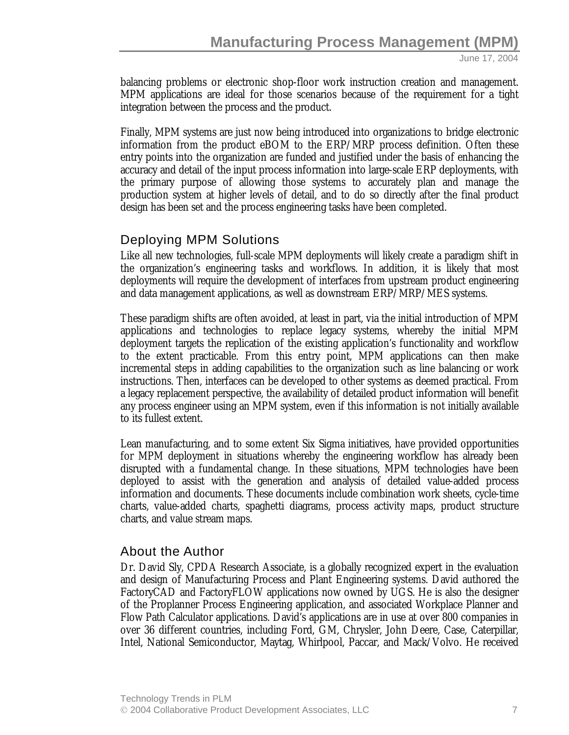balancing problems or electronic shop-floor work instruction creation and management. MPM applications are ideal for those scenarios because of the requirement for a tight integration between the process and the product.

Finally, MPM systems are just now being introduced into organizations to bridge electronic information from the product eBOM to the ERP/MRP process definition. Often these entry points into the organization are funded and justified under the basis of enhancing the accuracy and detail of the input process information into large-scale ERP deployments, with the primary purpose of allowing those systems to accurately plan and manage the production system at higher levels of detail, and to do so directly after the final product design has been set and the process engineering tasks have been completed.

### Deploying MPM Solutions

Like all new technologies, full-scale MPM deployments will likely create a paradigm shift in the organization's engineering tasks and workflows. In addition, it is likely that most deployments will require the development of interfaces from upstream product engineering and data management applications, as well as downstream ERP/MRP/MES systems.

These paradigm shifts are often avoided, at least in part, via the initial introduction of MPM applications and technologies to replace legacy systems, whereby the initial MPM deployment targets the replication of the existing application's functionality and workflow to the extent practicable. From this entry point, MPM applications can then make incremental steps in adding capabilities to the organization such as line balancing or work instructions. Then, interfaces can be developed to other systems as deemed practical. From a legacy replacement perspective, the availability of detailed product information will benefit any process engineer using an MPM system, even if this information is not initially available to its fullest extent.

Lean manufacturing, and to some extent Six Sigma initiatives, have provided opportunities for MPM deployment in situations whereby the engineering workflow has already been disrupted with a fundamental change. In these situations, MPM technologies have been deployed to assist with the generation and analysis of detailed value-added process information and documents. These documents include combination work sheets, cycle-time charts, value-added charts, spaghetti diagrams, process activity maps, product structure charts, and value stream maps.

#### About the Author

Dr. David Sly, CPDA Research Associate, is a globally recognized expert in the evaluation and design of Manufacturing Process and Plant Engineering systems. David authored the FactoryCAD and FactoryFLOW applications now owned by UGS. He is also the designer of the Proplanner Process Engineering application, and associated Workplace Planner and Flow Path Calculator applications. David's applications are in use at over 800 companies in over 36 different countries, including Ford, GM, Chrysler, John Deere, Case, Caterpillar, Intel, National Semiconductor, Maytag, Whirlpool, Paccar, and Mack/Volvo. He received